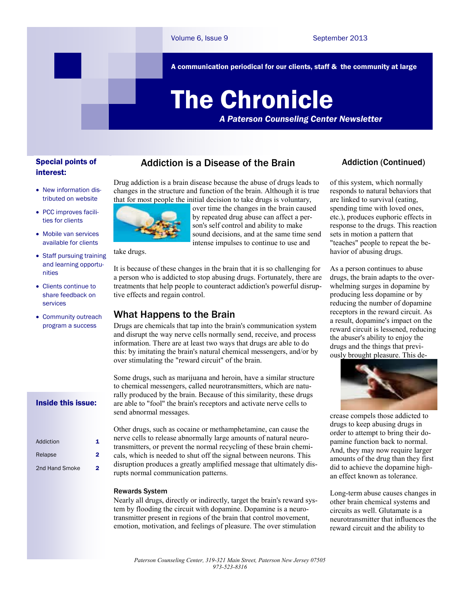A communication periodical for our clients, staff & the community at large

# The Chronicle

*A Paterson Counseling Center Newsletter*

# Special points of interest:

- New information distributed on website
- PCC improves facilities for clients
- Mobile van services available for clients
- Staff pursuing training and learning opportunities
- Clients continue to share feedback on services
- Community outreach program a success

#### Inside this issue:

| Addiction      | 1. |
|----------------|----|
| Relapse        | 2  |
| 2nd Hand Smoke | 2  |

# Addiction is a Disease of the Brain

Drug addiction is a brain disease because the abuse of drugs leads to changes in the structure and function of the brain. Although it is true that for most people the initial decision to take drugs is voluntary,



over time the changes in the brain caused by repeated drug abuse can affect a person's self control and ability to make sound decisions, and at the same time send intense impulses to continue to use and

take drugs.

It is because of these changes in the brain that it is so challenging for a person who is addicted to stop abusing drugs. Fortunately, there are treatments that help people to counteract addiction's powerful disruptive effects and regain control.

## What Happens to the Brain

Drugs are chemicals that tap into the brain's communication system and disrupt the way nerve cells normally send, receive, and process information. There are at least two ways that drugs are able to do this: by imitating the brain's natural chemical messengers, and/or by over stimulating the "reward circuit" of the brain.

Some drugs, such as marijuana and heroin, have a similar structure to chemical messengers, called neurotransmitters, which are naturally produced by the brain. Because of this similarity, these drugs are able to "fool" the brain's receptors and activate nerve cells to send abnormal messages.

Other drugs, such as cocaine or methamphetamine, can cause the nerve cells to release abnormally large amounts of natural neurotransmitters, or prevent the normal recycling of these brain chemicals, which is needed to shut off the signal between neurons. This disruption produces a greatly amplified message that ultimately disrupts normal communication patterns.

#### Rewards System

Nearly all drugs, directly or indirectly, target the brain's reward system by flooding the circuit with dopamine. Dopamine is a neurotransmitter present in regions of the brain that control movement, emotion, motivation, and feelings of pleasure. The over stimulation

# Addiction (Continued)

of this system, which normally responds to natural behaviors that are linked to survival (eating, spending time with loved ones, etc.), produces euphoric effects in response to the drugs. This reaction sets in motion a pattern that "teaches" people to repeat the behavior of abusing drugs.

As a person continues to abuse drugs, the brain adapts to the overwhelming surges in dopamine by producing less dopamine or by reducing the number of dopamine receptors in the reward circuit. As a result, dopamine's impact on the reward circuit is lessened, reducing the abuser's ability to enjoy the drugs and the things that previously brought pleasure. This de-



crease compels those addicted to drugs to keep abusing drugs in order to attempt to bring their dopamine function back to normal. And, they may now require larger amounts of the drug than they first did to achieve the dopamine highan effect known as tolerance.

Long-term abuse causes changes in other brain chemical systems and circuits as well. Glutamate is a neurotransmitter that influences the reward circuit and the ability to